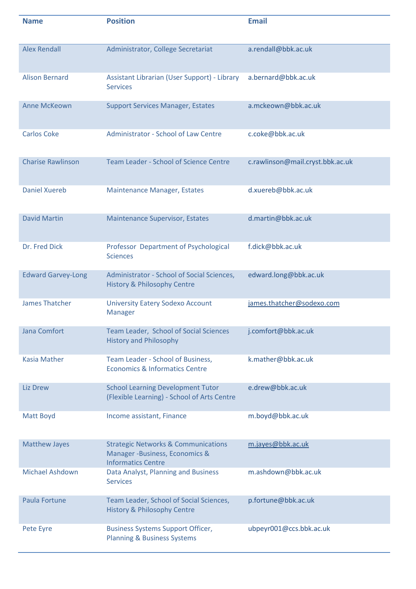| <b>Name</b>               | <b>Position</b>                                                                                               | <b>Email</b>                     |
|---------------------------|---------------------------------------------------------------------------------------------------------------|----------------------------------|
| <b>Alex Rendall</b>       | Administrator, College Secretariat                                                                            | a.rendall@bbk.ac.uk              |
| <b>Alison Bernard</b>     | Assistant Librarian (User Support) - Library<br><b>Services</b>                                               | a.bernard@bbk.ac.uk              |
| <b>Anne McKeown</b>       | <b>Support Services Manager, Estates</b>                                                                      | a.mckeown@bbk.ac.uk              |
| <b>Carlos Coke</b>        | Administrator - School of Law Centre                                                                          | c.coke@bbk.ac.uk                 |
| <b>Charise Rawlinson</b>  | <b>Team Leader - School of Science Centre</b>                                                                 | c.rawlinson@mail.cryst.bbk.ac.uk |
| <b>Daniel Xuereb</b>      | <b>Maintenance Manager, Estates</b>                                                                           | d.xuereb@bbk.ac.uk               |
| <b>David Martin</b>       | <b>Maintenance Supervisor, Estates</b>                                                                        | d.martin@bbk.ac.uk               |
| Dr. Fred Dick             | Professor Department of Psychological<br><b>Sciences</b>                                                      | f.dick@bbk.ac.uk                 |
| <b>Edward Garvey-Long</b> | Administrator - School of Social Sciences,<br><b>History &amp; Philosophy Centre</b>                          | edward.long@bbk.ac.uk            |
| <b>James Thatcher</b>     | <b>University Eatery Sodexo Account</b><br><b>Manager</b>                                                     | james.thatcher@sodexo.com        |
| Jana Comfort              | Team Leader, School of Social Sciences<br><b>History and Philosophy</b>                                       | j.comfort@bbk.ac.uk              |
| <b>Kasia Mather</b>       | Team Leader - School of Business,<br><b>Economics &amp; Informatics Centre</b>                                | k.mather@bbk.ac.uk               |
| <b>Liz Drew</b>           | <b>School Learning Development Tutor</b><br>(Flexible Learning) - School of Arts Centre                       | e.drew@bbk.ac.uk                 |
| Matt Boyd                 | Income assistant, Finance                                                                                     | m.boyd@bbk.ac.uk                 |
| <b>Matthew Jayes</b>      | <b>Strategic Networks &amp; Communications</b><br>Manager -Business, Economics &<br><b>Informatics Centre</b> | m.jayes@bbk.ac.uk                |
| <b>Michael Ashdown</b>    | Data Analyst, Planning and Business<br><b>Services</b>                                                        | m.ashdown@bbk.ac.uk              |
| Paula Fortune             | Team Leader, School of Social Sciences,<br><b>History &amp; Philosophy Centre</b>                             | p.fortune@bbk.ac.uk              |
| Pete Eyre                 | <b>Business Systems Support Officer,</b><br><b>Planning &amp; Business Systems</b>                            | ubpeyr001@ccs.bbk.ac.uk          |